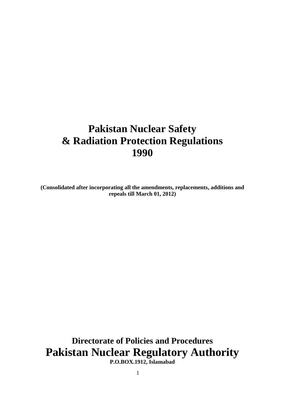# **Pakistan Nuclear Safety & Radiation Protection Regulations 1990**

**(Consolidated after incorporating all the amendments, replacements, additions and repeals till March 01, 2012)**

**Directorate of Policies and Procedures Pakistan Nuclear Regulatory Authority**

**P.O.BOX.1912, Islamabad**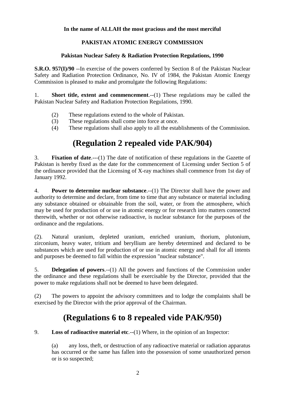#### **In the name of ALLAH the most gracious and the most merciful**

#### **PAKISTAN ATOMIC ENERGY COMMISSION**

#### **Pakistan Nuclear Safety & Radiation Protection Regulations, 1990**

**S.R.O. 957(I)/90** --In exercise of the powers conferred by Section 8 of the Pakistan Nuclear Safety and Radiation Protection Ordinance, No. IV of 1984, the Pakistan Atomic Energy Commission is pleased to make and promulgate the following Regulations:

1. **Short title, extent and commencement**.--(1) These regulations may be called the Pakistan Nuclear Safety and Radiation Protection Regulations, 1990.

- (2) These regulations extend to the whole of Pakistan.
- (3) These regulations shall come into force at once.
- (4) These regulations shall also apply to all the establishments of the Commission.

## **(Regulation 2 repealed vide PAK/904)**

3. **Fixation of date**.---(1) The date of notification of these regulations in the Gazette of Pakistan is hereby fixed as the date for the commencement of Licensing under Section 5 of the ordinance provided that the Licensing of X-ray machines shall commence from 1st day of January 1992.

4. **Power to determine nuclear substance**.--(1) The Director shall have the power and authority to determine and declare, from time to time that any substance or material including any substance obtained or obtainable from the soil, water, or from the atmosphere, which may be used for production of or use in atomic energy or for research into matters connected therewith, whether or not otherwise radioactive, is nuclear substance for the purposes of the ordinance and the regulations.

(2). Natural uranium, depleted uranium, enriched uranium, thorium, plutonium, zirconium, heavy water, tritium and beryllium are hereby determined and declared to be substances which are used for production of or use in atomic energy and shall for all intents and purposes be deemed to fall within the expression "nuclear substance".

5. **Delegation of powers**.--(1) All the powers and functions of the Commission under the ordinance and these regulations shall be exercisable by the Director, provided that the power to make regulations shall not be deemed to have been delegated.

(2) The powers to appoint the advisory committees and to lodge the complaints shall be exercised by the Director with the prior approval of the Chairman.

## **(Regulations 6 to 8 repealed vide PAK/950)**

9. **Loss of radioactive material etc**.--(1) Where, in the opinion of an Inspector:

(a) any loss, theft, or destruction of any radioactive material or radiation apparatus has occurred or the same has fallen into the possession of some unauthorized person or is so suspected;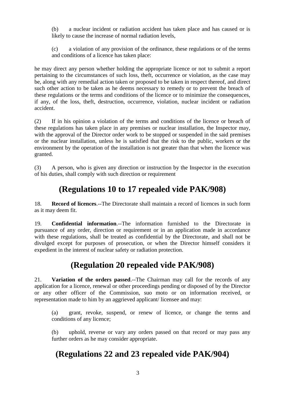(b) a nuclear incident or radiation accident has taken place and has caused or is likely to cause the increase of normal radiation levels,

(c) a violation of any provision of the ordinance, these regulations or of the terms and conditions of a licence has taken place:

he may direct any person whether holding the appropriate licence or not to submit a report pertaining to the circumstances of such loss, theft, occurrence or violation, as the case may be, along with any remedial action taken or proposed to be taken in respect thereof, and direct such other action to be taken as he deems necessary to remedy or to prevent the breach of these regulations or the terms and conditions of the licence or to minimize the consequences, if any, of the loss, theft, destruction, occurrence, violation, nuclear incident or radiation accident.

(2) If in his opinion a violation of the terms and conditions of the licence or breach of these regulations has taken place in any premises or nuclear installation, the Inspector may, with the approval of the Director order work to be stopped or suspended in the said premises or the nuclear installation, unless he is satisfied that the risk to the public, workers or the environment by the operation of the installation is not greater than that when the licence was granted.

(3) A person, who is given any direction or instruction by the Inspector in the execution of his duties, shall comply with such direction or requirement

### **(Regulations 10 to 17 repealed vide PAK/908)**

18. **Record of licences**.--The Directorate shall maintain a record of licences in such form as it may deem fit.

19. **Confidential information**.--The information furnished to the Directorate in pursuance of any order, direction or requirement or in an application made in accordance with these regulations, shall be treated as confidential by the Directorate, and shall not be divulged except for purposes of prosecution, or when the Director himself considers it expedient in the interest of nuclear safety or radiation protection.

## **(Regulation 20 repealed vide PAK/908)**

21. **Variation of the orders passed**.--The Chairman may call for the records of any application for a licence, renewal or other proceedings pending or disposed of by the Director or any other officer of the Commission, suo moto or on information received, or representation made to him by an aggrieved applicant/ licensee and may:

(a) grant, revoke, suspend, or renew of licence, or change the terms and conditions of any licence;

(b) uphold, reverse or vary any orders passed on that record or may pass any further orders as he may consider appropriate.

#### **(Regulations 22 and 23 repealed vide PAK/904)**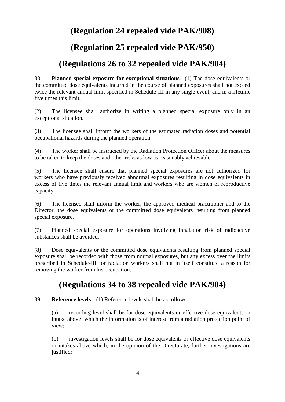### **(Regulation 24 repealed vide PAK/908)**

### **(Regulation 25 repealed vide PAK/950)**

### **(Regulations 26 to 32 repealed vide PAK/904)**

33. **Planned special exposure for exceptional situations**.--(1) The dose equivalents or the committed dose equivalents incurred in the course of planned exposures shall not exceed twice the relevant annual limit specified in Schedule-III in any single event, and in a lifetime five times this limit.

(2) The licensee shall authorize in writing a planned special exposure only in an exceptional situation.

(3) The licensee shall inform the workers of the estimated radiation doses and potential occupational hazards during the planned operation.

(4) The worker shall be instructed by the Radiation Protection Officer about the measures to be taken to keep the doses and other risks as low as reasonably achievable.

(5) The licensee shall ensure that planned special exposures are not authorized for workers who have previously received abnormal exposures resulting in dose equivalents in excess of five times the relevant annual limit and workers who are women of reproductive capacity.

(6) The licensee shall inform the worker, the approved medical practitioner and to the Director, the dose equivalents or the committed dose equivalents resulting from planned special exposure.

(7) Planned special exposure for operations involving inhalation risk of radioactive substances shall be avoided.

(8) Dose equivalents or the committed dose equivalents resulting from planned special exposure shall be recorded with those from normal exposures, but any excess over the limits prescribed in Schedule-III for radiation workers shall not in itself constitute a reason for removing the worker from his occupation.

#### **(Regulations 34 to 38 repealed vide PAK/904)**

39. **Reference levels**.--(1) Reference levels shall be as follows:

(a) recording level shall be for dose equivalents or effective dose equivalents or intake above which the information is of interest from a radiation protection point of view;

(b) investigation levels shall be for dose equivalents or effective dose equivalents or intakes above which, in the opinion of the Directorate, further investigations are justified;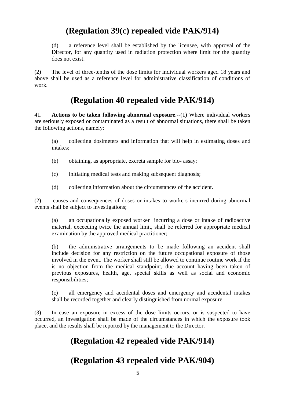## **(Regulation 39(c) repealed vide PAK/914)**

(d) a reference level shall be established by the licensee, with approval of the Director, for any quantity used in radiation protection where limit for the quantity does not exist.

(2) The level of three-tenths of the dose limits for individual workers aged 18 years and above shall be used as a reference level for administrative classification of conditions of work.

### **(Regulation 40 repealed vide PAK/914)**

41. **Actions to be taken following abnormal exposure**.--(1) Where individual workers are seriously exposed or contaminated as a result of abnormal situations, there shall be taken the following actions, namely:

(a) collecting dosimeters and information that will help in estimating doses and intakes;

- (b) obtaining, as appropriate, excreta sample for bio- assay;
- (c) initiating medical tests and making subsequent diagnosis;
- (d) collecting information about the circumstances of the accident.

(2) causes and consequences of doses or intakes to workers incurred during abnormal events shall be subject to investigations;

(a) an occupationally exposed worker incurring a dose or intake of radioactive material, exceeding twice the annual limit, shall be referred for appropriate medical examination by the approved medical practitioner;

(b) the administrative arrangements to be made following an accident shall include decision for any restriction on the future occupational exposure of those involved in the event. The worker shall still be allowed to continue routine work if the is no objection from the medical standpoint, due account having been taken of previous exposures, health, age, special skills as well as social and economic responsibilities;

(c) all emergency and accidental doses and emergency and accidental intakes shall be recorded together and clearly distinguished from normal exposure.

(3) In case an exposure in excess of the dose limits occurs, or is suspected to have occurred, an investigation shall be made of the circumstances in which the exposure took place, and the results shall be reported by the management to the Director.

## **(Regulation 42 repealed vide PAK/914)**

#### **(Regulation 43 repealed vide PAK/904)**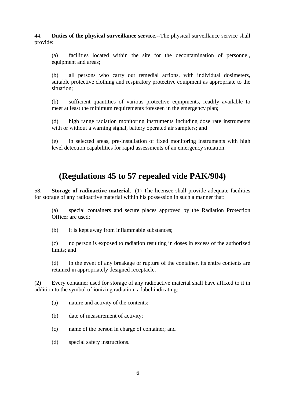44. **Duties of the physical surveillance service**.--The physical surveillance service shall provide:

(a) facilities located within the site for the decontamination of personnel, equipment and areas;

(b) all persons who carry out remedial actions, with individual dosimeters, suitable protective clothing and respiratory protective equipment as appropriate to the situation;

(b) sufficient quantities of various protective equipments, readily available to meet at least the minimum requirements foreseen in the emergency plan;

(d) high range radiation monitoring instruments including dose rate instruments with or without a warning signal, battery operated air samplers; and

(e) in selected areas, pre-installation of fixed monitoring instruments with high level detection capabilities for rapid assessments of an emergency situation.

#### **(Regulations 45 to 57 repealed vide PAK/904)**

58. **Storage of radioactive material.**--(1) The licensee shall provide adequate facilities for storage of any radioactive material within his possession in such a manner that:

(a) special containers and secure places approved by the Radiation Protection Officer are used;

(b) it is kept away from inflammable substances;

(c) no person is exposed to radiation resulting in doses in excess of the authorized limits; and

(d) in the event of any breakage or rupture of the container, its entire contents are retained in appropriately designed receptacle.

(2) Every container used for storage of any radioactive material shall have affixed to it in addition to the symbol of ionizing radiation, a label indicating:

(a) nature and activity of the contents:

(b) date of measurement of activity;

(c) name of the person in charge of container; and

(d) special safety instructions.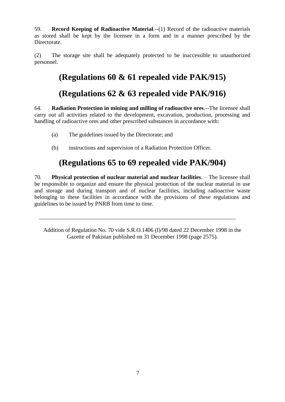59. **Record Keeping of Radioactive Material**.--(1) Record of the radioactive materials as stored shall be kept by the licensee in a form and in a manner prescribed by the Directorate.

(2) The storage site shall be adequately protected to be inaccessible to unauthorized personnel.

# **(Regulations 60 & 61 repealed vide PAK/915)**

## **(Regulations 62 & 63 repealed vide PAK/916)**

64. **Radiation Protection in mining and milling of radioactive ores**.--The licensee shall carry out all activities related to the development, excavation, production, processing and handling of radioactive ores and other prescribed substances in accordance with:

- (a) The guidelines issued by the Directorate; and
- (b) instructions and supervision of a Radiation Protection Officer.

## **(Regulations 65 to 69 repealed vide PAK/904)**

70. **Physical protection of nuclear material and nuclear facilities**. – The licensee shall be responsible to organize and ensure the physical protection of the nuclear material in use and storage and during transport and of nuclear facilities, including radioactive waste belonging to these facilities in accordance with the provisions of these regulations and guidelines to be issued by PNRB from time to time.

Addition of Regulation No. 70 vide S.R.O.1406 (I)/98 dated 22 December 1998 in the Gazette of Pakistan published on 31 December 1998 (page 2575).